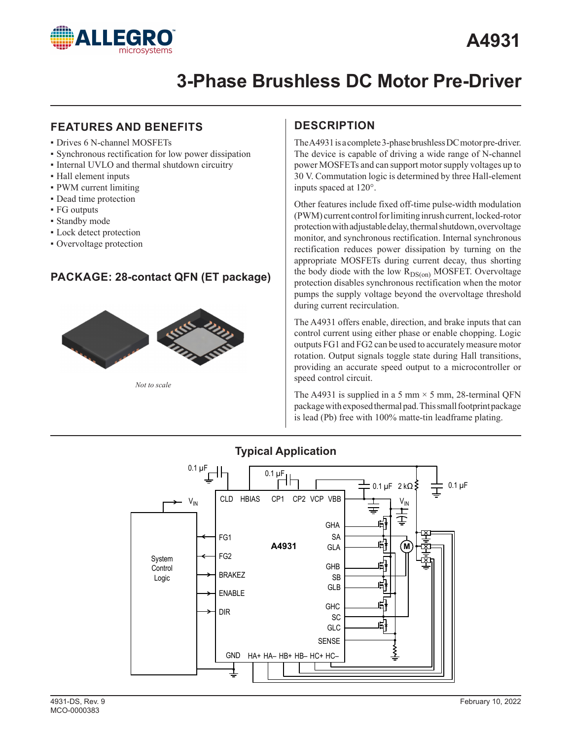

## **FEATURES AND BENEFITS**

- Drives 6 N-channel MOSFETs
- ▪ Synchronous rectification for low power dissipation
- **.** Internal UVLO and thermal shutdown circuitry
- ▪ Hall element inputs
- PWM current limiting
- **•** Dead time protection
- ▪ FG outputs
- Standby mode
- **Lock detect protection**
- Overvoltage protection

## **PACKAGE: 28-contact QFN (ET package)**



*Not to scale*

## **DESCRIPTION**

The A4931 is a complete 3-phase brushless DC motor pre-driver. The device is capable of driving a wide range of N-channel power MOSFETs and can support motor supply voltages up to 30 V. Commutation logic is determined by three Hall-element inputs spaced at 120°.

Other features include fixed off-time pulse-width modulation (PWM) current control for limiting inrush current, locked-rotor protection with adjustable delay, thermal shutdown, overvoltage monitor, and synchronous rectification. Internal synchronous rectification reduces power dissipation by turning on the appropriate MOSFETs during current decay, thus shorting the body diode with the low  $R_{DS(on)}$  MOSFET. Overvoltage protection disables synchronous rectification when the motor pumps the supply voltage beyond the overvoltage threshold during current recirculation.

The A4931 offers enable, direction, and brake inputs that can control current using either phase or enable chopping. Logic outputs FG1 and FG2 can be used to accurately measure motor rotation. Output signals toggle state during Hall transitions, providing an accurate speed output to a microcontroller or speed control circuit.

The A4931 is supplied in a 5 mm  $\times$  5 mm, 28-terminal QFN package with exposed thermal pad. This small footprint package is lead (Pb) free with 100% matte-tin leadframe plating.



## **Typical Application**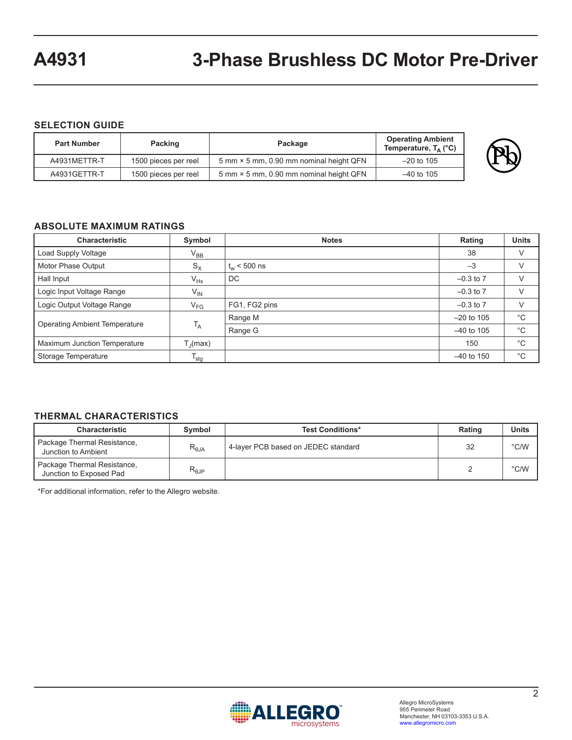#### **SELECTION GUIDE**

| <b>Part Number</b> | Packing              | Package                                 |              |  |  |  |
|--------------------|----------------------|-----------------------------------------|--------------|--|--|--|
| A4931METTR-T       | 1500 pieces per reel | 5 mm × 5 mm, 0.90 mm nominal height QFN | $-20$ to 105 |  |  |  |
| A4931GETTR-T       | 1500 pieces per reel | 5 mm × 5 mm, 0.90 mm nominal height QFN | $-40$ to 105 |  |  |  |

#### **ABSOLUTE MAXIMUM RATINGS**

| <b>Characteristic</b>                | Symbol                    | <b>Notes</b>     | Rating        | <b>Units</b> |
|--------------------------------------|---------------------------|------------------|---------------|--------------|
| Load Supply Voltage                  | $\rm V_{BB}$              |                  | 38            |              |
| Motor Phase Output                   | $S_X$                     | $t_{w}$ < 500 ns | $-3$          |              |
| Hall Input<br>$V_{Hx}$               |                           | DC               | $-0.3$ to $7$ |              |
| Logic Input Voltage Range            | $V_{\mathsf{IN}}$         |                  | $-0.3$ to $7$ |              |
| Logic Output Voltage Range           | $\rm V_{FG}$              | FG1, FG2 pins    | $-0.3$ to $7$ |              |
| <b>Operating Ambient Temperature</b> |                           | Range M          | $-20$ to 105  | $^{\circ}C$  |
|                                      | $T_A$                     | Range G          | $-40$ to 105  | $^{\circ}$ C |
| <b>Maximum Junction Temperature</b>  | $T_{J}$ (max)             |                  | 150           | $^{\circ}C$  |
| Storage Temperature                  | $\mathsf{T}_{\text{stg}}$ |                  | $-40$ to 150  | $^{\circ}$ C |

#### **THERMAL CHARACTERISTICS**

| Characteristic                                                                                               | Symbol         | <b>Test Conditions*</b> | Rating | Units         |
|--------------------------------------------------------------------------------------------------------------|----------------|-------------------------|--------|---------------|
| Package Thermal Resistance,<br>4-layer PCB based on JEDEC standard<br>$R_{\theta,IA}$<br>Junction to Ambient |                | 32                      | °C/W   |               |
| Package Thermal Resistance,<br>Junction to Exposed Pad                                                       | $R_{\theta$ JP |                         |        | $\degree$ C/W |

\*For additional information, refer to the Allegro website.

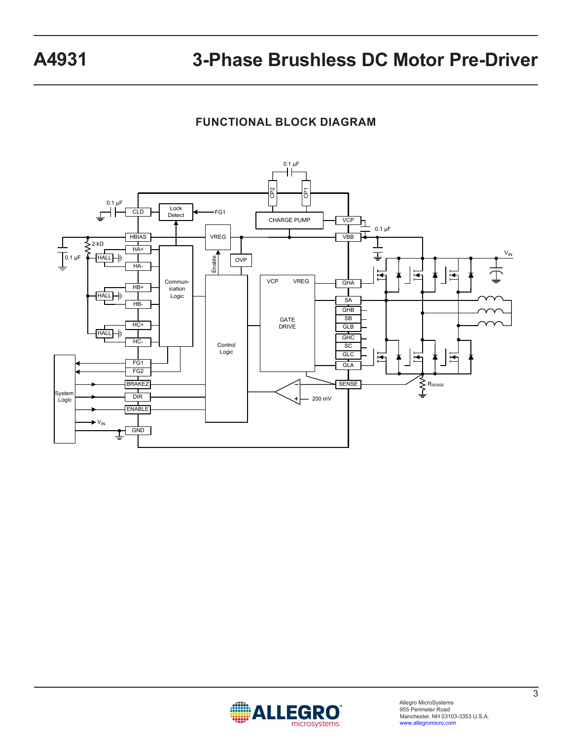## **FUNCTIONAL BLOCK DIAGRAM**



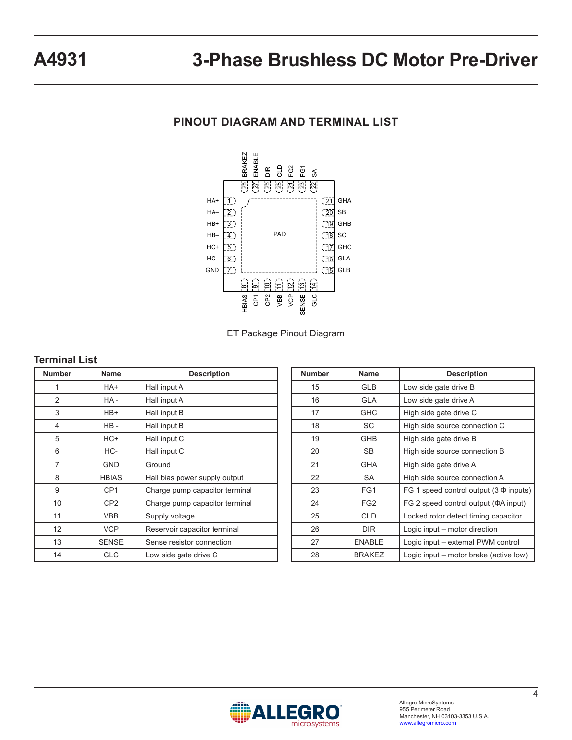## **PINOUT DIAGRAM AND TERMINAL LIST**



ET Package Pinout Diagram

#### **Terminal List**

| <b>Number</b>    | <b>Name</b>     | <b>Description</b>             |  |  |  |
|------------------|-----------------|--------------------------------|--|--|--|
| 1                | HA+             | Hall input A                   |  |  |  |
| $\overline{2}$   | HA-             | Hall input A                   |  |  |  |
| 3                | HB+             | Hall input B                   |  |  |  |
| $\overline{4}$   | HB-             | Hall input B                   |  |  |  |
| 5                | HC+             | Hall input C                   |  |  |  |
| 6                | HC-             | Hall input C                   |  |  |  |
| 7                | <b>GND</b>      | Ground                         |  |  |  |
| 8                | <b>HBIAS</b>    | Hall bias power supply output  |  |  |  |
| 9                | CP <sub>1</sub> | Charge pump capacitor terminal |  |  |  |
| 10               | CP <sub>2</sub> | Charge pump capacitor terminal |  |  |  |
| 11<br><b>VBB</b> |                 | Supply voltage                 |  |  |  |
| 12<br><b>VCP</b> |                 | Reservoir capacitor terminal   |  |  |  |
| 13               | <b>SENSE</b>    | Sense resistor connection      |  |  |  |
| 14               | <b>GLC</b>      | Low side gate drive C          |  |  |  |

| <b>Number</b> | <b>Name</b>     | <b>Description</b>                           |
|---------------|-----------------|----------------------------------------------|
| 15            | <b>GLB</b>      | Low side gate drive B                        |
| 16            | <b>GLA</b>      | Low side gate drive A                        |
| 17            | GHC             | High side gate drive C                       |
| 18            | SC              | High side source connection C                |
| 19            | <b>GHB</b>      | High side gate drive B                       |
| 20            | SB.             | High side source connection B                |
| 21            | GHA             | High side gate drive A                       |
| 22            | SA              | High side source connection A                |
| 23            | FG1             | FG 1 speed control output $(3 \Phi)$ inputs) |
| 24            | FG <sub>2</sub> | FG 2 speed control output ( $\Phi A$ input)  |
| 25            | <b>CLD</b>      | Locked rotor detect timing capacitor         |
| 26            | <b>DIR</b>      | Logic input – motor direction                |
| 27            | <b>ENABLE</b>   | Logic input - external PWM control           |
| 28            | <b>BRAKEZ</b>   | Logic input – motor brake (active low)       |

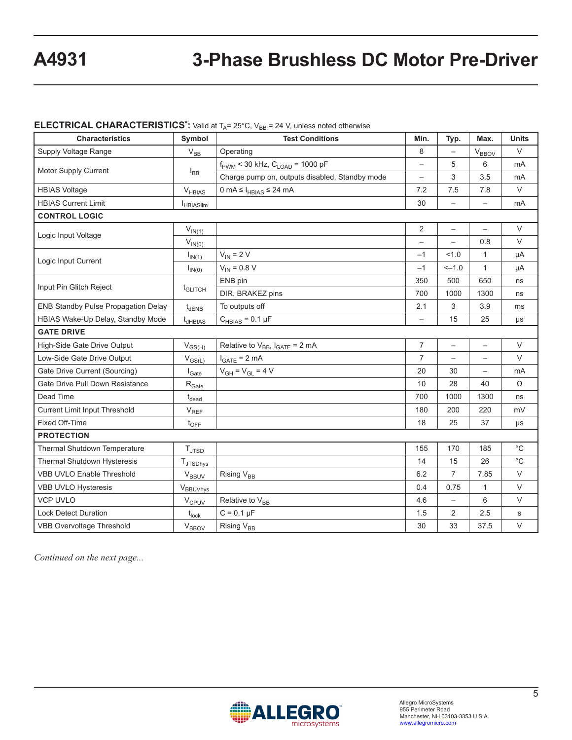### **ELECTRICAL CHARACTERISTICS\*:** Valid at T<sub>A</sub>= 25°C, V<sub>BB</sub> = 24 V, unless noted otherwise

| <b>Characteristics</b>                                                     | <b>Test Conditions</b> | Min.                                                   | Typ.                     | Max.                     | <b>Units</b>             |              |
|----------------------------------------------------------------------------|------------------------|--------------------------------------------------------|--------------------------|--------------------------|--------------------------|--------------|
| Supply Voltage Range                                                       | $V_{BB}$               | Operating                                              | 8                        |                          | <b>V<sub>BBOV</sub></b>  | $\vee$       |
|                                                                            |                        | $f_{\text{PWM}}$ < 30 kHz, $C_{\text{LOAD}}$ = 1000 pF |                          | 5                        | $6\phantom{1}6$          | mA           |
| Motor Supply Current                                                       | $I_{BB}$               | Charge pump on, outputs disabled, Standby mode         | $\overline{\phantom{0}}$ | 3                        | 3.5                      | mA           |
| <b>HBIAS Voltage</b>                                                       | $V_{HBIAS}$            | 0 mA $\leq$ $I_{HBIAS} \leq 24$ mA                     | 7.2                      | 7.5                      | 7.8                      | $\vee$       |
| <b>HBIAS Current Limit</b>                                                 | <b>I</b> HBIASlim      |                                                        | 30                       | $\qquad \qquad -$        |                          | mA           |
| <b>CONTROL LOGIC</b>                                                       |                        |                                                        |                          |                          |                          |              |
| Logic Input Voltage                                                        | $V_{IN(1)}$            |                                                        | 2                        | $\overline{\phantom{a}}$ | $\overline{\phantom{0}}$ | $\vee$       |
|                                                                            | $V_{IN(0)}$            |                                                        | $\overline{\phantom{0}}$ | $\overline{\phantom{0}}$ | 0.8                      | $\vee$       |
| Logic Input Current                                                        | $I_{IN(1)}$            | $V_{IN}$ = 2 V                                         | $-1$                     | 1.0                      | 1                        | μA           |
|                                                                            | $I_{IN(0)}$            | $V_{IN} = 0.8 V$                                       | $-1$                     | $-1.0$                   | $\mathbf{1}$             | μA           |
| Input Pin Glitch Reject                                                    |                        | ENB pin                                                | 350                      | 500                      | 650                      | ns           |
|                                                                            | t <sub>GLITCH</sub>    | DIR, BRAKEZ pins                                       | 700                      | 1000                     | 1300                     | ns           |
| <b>ENB Standby Pulse Propagation Delay</b><br>To outputs off<br>$t_{dENB}$ |                        |                                                        | 2.1                      | 3                        | 3.9                      | ms           |
| HBIAS Wake-Up Delay, Standby Mode<br>t <sub>dHBIAS</sub>                   |                        | $C_{HBIAS} = 0.1 \mu F$                                | $\overline{\phantom{0}}$ | 15                       | 25                       | μs           |
| <b>GATE DRIVE</b>                                                          |                        |                                                        |                          |                          |                          |              |
| High-Side Gate Drive Output                                                | $V_{GS(H)}$            | Relative to $V_{BB}$ , $I_{GATE} = 2 mA$               | $\overline{7}$           | $\overline{\phantom{0}}$ | $\overline{\phantom{0}}$ | $\vee$       |
| Low-Side Gate Drive Output                                                 | $V_{GS(L)}$            | $I_{GATE}$ = 2 mA                                      | $\overline{7}$           | $\overline{\phantom{0}}$ | $\overline{\phantom{m}}$ | $\vee$       |
| Gate Drive Current (Sourcing)<br>$I_{\text{Gate}}$                         |                        | $V_{GH} = V_{GL} = 4 V$                                | 20                       | 30                       |                          | mA           |
| Gate Drive Pull Down Resistance<br>$\rm R_{\rm Gate}$                      |                        |                                                        | 10                       | 28                       | 40                       | Ω            |
| Dead Time                                                                  | $t_{\text{dead}}$      |                                                        | 700                      | 1000                     | 1300                     | ns           |
| <b>Current Limit Input Threshold</b>                                       | $V_{REF}$              |                                                        | 180                      | 200                      | 220                      | mV           |
| Fixed Off-Time                                                             | $t_{\text{OFF}}$       |                                                        | 18                       | 25                       | 37                       | μs           |
| <b>PROTECTION</b>                                                          |                        |                                                        |                          |                          |                          |              |
| Thermal Shutdown Temperature                                               | $T_{\text{JTSD}}$      |                                                        | 155                      | 170                      | 185                      | $^{\circ}C$  |
| Thermal Shutdown Hysteresis                                                | $T_{JTSDhys}$          |                                                        | 14                       | 15                       | 26                       | $^{\circ}$ C |
| <b>VBB UVLO Enable Threshold</b>                                           | $V_{BBUV}$             | Rising V <sub>BB</sub>                                 | 6.2                      | 7                        | 7.85                     | $\vee$       |
| VBB UVLO Hysteresis                                                        | V <sub>BBUVhys</sub>   |                                                        | 0.4                      | 0.75                     | 1                        | $\vee$       |
| <b>VCP UVLO</b>                                                            | V <sub>CPUV</sub>      | Relative to V <sub>BB</sub>                            | 4.6                      | $\overline{\phantom{0}}$ | 6                        | $\vee$       |
| <b>Lock Detect Duration</b>                                                | $t_{lock}$             | $C = 0.1 \mu F$                                        | 1.5                      | 2                        | 2.5                      | s            |
| <b>VBB Overvoltage Threshold</b><br>$V_{\text{BBOV}}$                      |                        | Rising V <sub>BB</sub>                                 | 30                       | 33                       | 37.5                     | $\vee$       |

*Continued on the next page...*

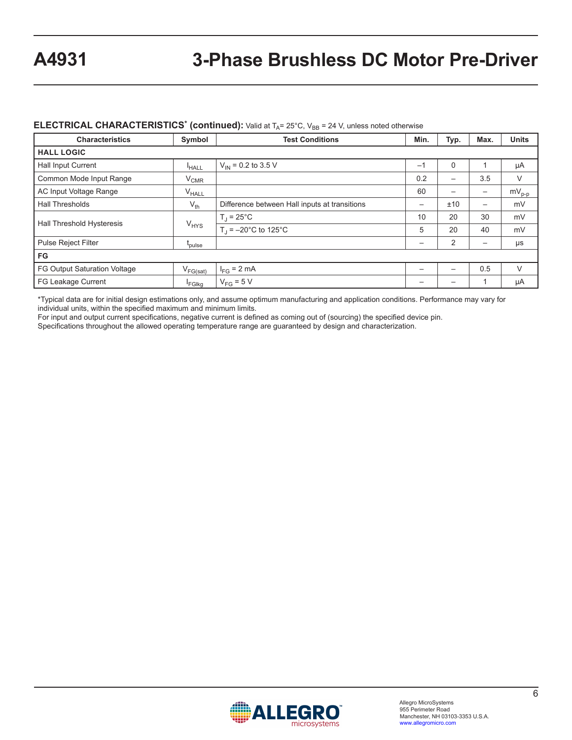#### **ELECTRICAL CHARACTERISTICS<sup>\*</sup> (continued):** Valid at T<sub>A</sub>= 25°C, V<sub>BB</sub> = 24 V, unless noted otherwise

| <b>Characteristics</b>                        | Symbol            | <b>Test Conditions</b>                        | Min.                     | Typ.                     | Max.                     | <b>Units</b> |
|-----------------------------------------------|-------------------|-----------------------------------------------|--------------------------|--------------------------|--------------------------|--------------|
| <b>HALL LOGIC</b>                             |                   |                                               |                          |                          |                          |              |
| <b>Hall Input Current</b>                     | <sup>I</sup> HALL | $V_{IN}$ = 0.2 to 3.5 V                       | $-1$                     | 0                        |                          | μA           |
| Common Mode Input Range                       | $V_{CMR}$         |                                               | 0.2                      | $\overline{\phantom{m}}$ | 3.5                      | V            |
| AC Input Voltage Range<br>V <sub>HALL</sub>   |                   |                                               | 60                       | —                        |                          | $mV_{p-p}$   |
| <b>Hall Thresholds</b><br>$V_{th}$            |                   | Difference between Hall inputs at transitions |                          | ±10                      | $\overline{\phantom{m}}$ | mV           |
|                                               | $V_{HYS}$         | $T_J = 25^{\circ}C$                           | 10                       | 20                       | 30                       | mV           |
| Hall Threshold Hysteresis                     |                   | $T_1 = -20$ °C to 125°C                       | 5                        | 20                       | 40                       | mV           |
| Pulse Reject Filter<br>t <sub>pulse</sub>     |                   |                                               |                          | 2                        |                          | μs           |
| <b>FG</b>                                     |                   |                                               |                          |                          |                          |              |
| FG Output Saturation Voltage<br>$V_{FG(sat)}$ |                   | $I_{FG}$ = 2 mA                               |                          |                          | 0.5                      | V            |
| FG Leakage Current                            | <b>FGIkg</b>      | $V_{FG}$ = 5 V                                | $\overline{\phantom{m}}$ | $\overline{\phantom{m}}$ |                          | μA           |

\*Typical data are for initial design estimations only, and assume optimum manufacturing and application conditions. Performance may vary for individual units, within the specified maximum and minimum limits.

For input and output current specifications, negative current is defined as coming out of (sourcing) the specified device pin.

Specifications throughout the allowed operating temperature range are guaranteed by design and characterization.

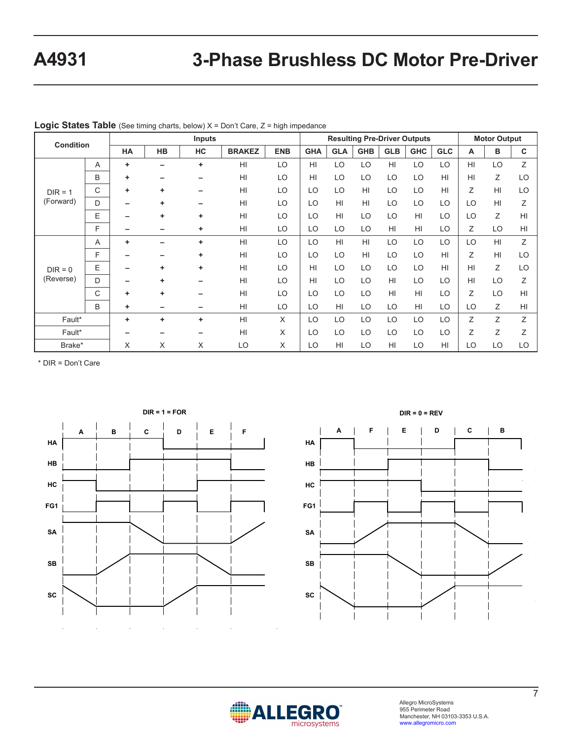| <b>Condition</b> |   | Inputs |           |    |                 |            | <b>Resulting Pre-Driver Outputs</b> |                 |            |            |            | <b>Motor Output</b> |    |    |                |
|------------------|---|--------|-----------|----|-----------------|------------|-------------------------------------|-----------------|------------|------------|------------|---------------------|----|----|----------------|
|                  |   | HA     | <b>HB</b> | HC | <b>BRAKEZ</b>   | <b>ENB</b> | <b>GHA</b>                          | <b>GLA</b>      | <b>GHB</b> | <b>GLB</b> | <b>GHC</b> | <b>GLC</b>          | A  | в  | C              |
|                  | A | ٠      |           | ٠  | HI              | LO         | HI                                  | LO              | LO         | HI         | LO         | LO                  | HI | LO | Z              |
|                  | B | ٠      |           |    | HI              | LO         | HI                                  | LO              | LO         | LO         | LO         | HI                  | HI | Z  | LO             |
| $DIR = 1$        | C | ٠      | ٠         |    | HI              | LO         | LO                                  | LO              | HI         | LO         | LO         | HI                  | Ζ  | HI | LO             |
| (Forward)        | D |        | ٠         |    | HI              | LO         | LO                                  | H <sub>l</sub>  | H1         | LO         | LO         | LO                  | LO | HI | Ζ              |
|                  | E |        | ٠         | ٠  | HI              | LO         | LO                                  | H <sub>II</sub> | LO         | LO         | HI         | LO                  | LO | Ζ  | H <sub>l</sub> |
|                  | E |        | -         | ٠  | HI              | LO         | LO                                  | LO              | LO         | HI         | HI         | LO                  | Ζ  | LO | H <sub>l</sub> |
|                  | A | ÷      |           | ٠  | HI              | LO         | LO                                  | H <sub>II</sub> | HI         | LO         | LO         | LO                  | LO | HI | Z              |
|                  | F |        |           | ٠  | HI              | LO         | LO                                  | LO              | HI         | LO         | LO         | HI                  | Ζ  | HI | LO             |
| $DIR = 0$        | E |        | ٠         | ٠  | HI              | LO         | HI                                  | LO              | LO         | LO         | LO         | HI                  | HI | Ζ  | LO             |
| (Reverse)        | D |        | ٠         |    | HI              | LO         | HI                                  | LO              | LO         | HI         | LO         | LO                  | HI | LO | Z              |
|                  | C | ٠      | ٠         |    | HI              | LO         | LO                                  | LO              | LO         | HI         | HI         | LO                  | Z  | LO | H <sub>l</sub> |
|                  | B | ٠      |           |    | HI              | LO         | LO                                  | HI              | LO         | LO         | HI         | LO                  | LO | Ζ  | H <sub>l</sub> |
| Fault*           |   | ٠      | ٠         | ٠  | H <sub>II</sub> | X          | LO                                  | LO              | LO         | LO         | LO         | LO                  | Ζ  | Ζ  | Ζ              |
| Fault*           |   |        |           |    | H <sub>II</sub> | X          | LO                                  | LO              | LO         | LO         | LO         | LO                  | Z  | Z  | Z              |
| Brake*           |   | X      | X         | X  | LO              | X          | LO                                  | HI              | LO         | HI         | LO         | HI                  | LO | LO | LO             |

#### **Logic States Table** (See timing charts, below) X = Don't Care, Z = high impedance

\* DIR = Don't Care

**HB**





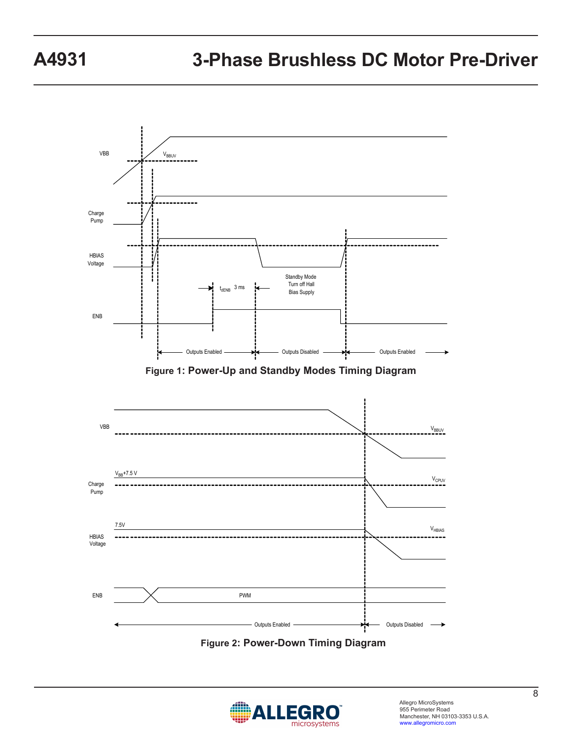

**Figure 2: Power-Down Timing Diagram**

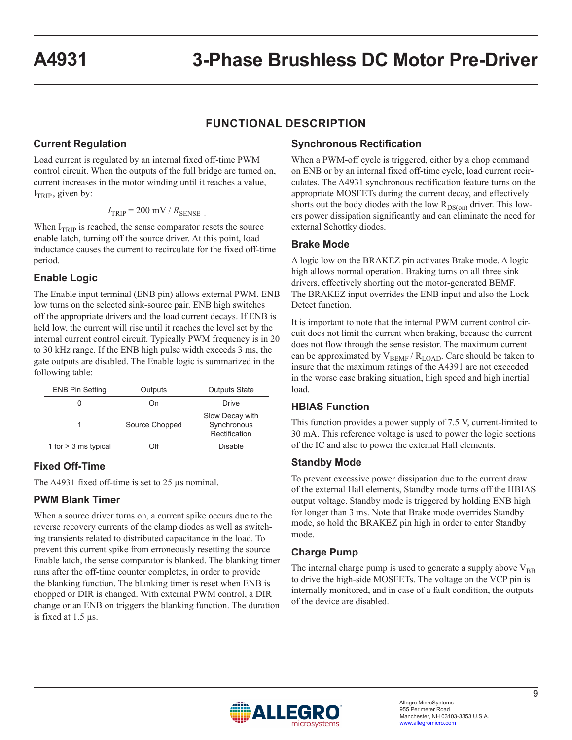## **FUNCTIONAL DESCRIPTION**

### **Current Regulation**

Load current is regulated by an internal fixed off-time PWM control circuit. When the outputs of the full bridge are turned on, current increases in the motor winding until it reaches a value,  $I_{TRIP}$ , given by:

$$
I_{\text{TRIP}} = 200 \text{ mV} / R_{\text{SENSE}}
$$

When  $I_{TRIP}$  is reached, the sense comparator resets the source enable latch, turning off the source driver. At this point, load inductance causes the current to recirculate for the fixed off-time period.

#### **Enable Logic**

The Enable input terminal (ENB pin) allows external PWM. ENB low turns on the selected sink-source pair. ENB high switches off the appropriate drivers and the load current decays. If ENB is held low, the current will rise until it reaches the level set by the internal current control circuit. Typically PWM frequency is in 20 to 30 kHz range. If the ENB high pulse width exceeds 3 ms, the gate outputs are disabled. The Enable logic is summarized in the following table:

| <b>ENB Pin Setting</b> | Outputs        | <b>Outputs State</b>                            |
|------------------------|----------------|-------------------------------------------------|
|                        | On             | Drive                                           |
| 1                      | Source Chopped | Slow Decay with<br>Synchronous<br>Rectification |
| 1 for $>$ 3 ms typical | ገff            | Disable                                         |

### **Fixed Off-Time**

The A4931 fixed off-time is set to 25 µs nominal.

### **PWM Blank Timer**

When a source driver turns on, a current spike occurs due to the reverse recovery currents of the clamp diodes as well as switching transients related to distributed capacitance in the load. To prevent this current spike from erroneously resetting the source Enable latch, the sense comparator is blanked. The blanking timer runs after the off-time counter completes, in order to provide the blanking function. The blanking timer is reset when ENB is chopped or DIR is changed. With external PWM control, a DIR change or an ENB on triggers the blanking function. The duration is fixed at 1.5 µs.

### **Synchronous Rectification**

When a PWM-off cycle is triggered, either by a chop command on ENB or by an internal fixed off-time cycle, load current recirculates. The A4931 synchronous rectification feature turns on the appropriate MOSFETs during the current decay, and effectively shorts out the body diodes with the low  $R_{DS(on)}$  driver. This lowers power dissipation significantly and can eliminate the need for external Schottky diodes.

#### **Brake Mode**

A logic low on the BRAKEZ pin activates Brake mode. A logic high allows normal operation. Braking turns on all three sink drivers, effectively shorting out the motor-generated BEMF. The BRAKEZ input overrides the ENB input and also the Lock Detect function.

It is important to note that the internal PWM current control circuit does not limit the current when braking, because the current does not flow through the sense resistor. The maximum current can be approximated by  $V_{BEMF} / R_{LOAD}$ . Care should be taken to insure that the maximum ratings of the A4391 are not exceeded in the worse case braking situation, high speed and high inertial load.

### **HBIAS Function**

This function provides a power supply of 7.5 V, current-limited to 30 mA. This reference voltage is used to power the logic sections of the IC and also to power the external Hall elements.

#### **Standby Mode**

To prevent excessive power dissipation due to the current draw of the external Hall elements, Standby mode turns off the HBIAS output voltage. Standby mode is triggered by holding ENB high for longer than 3 ms. Note that Brake mode overrides Standby mode, so hold the BRAKEZ pin high in order to enter Standby mode.

### **Charge Pump**

The internal charge pump is used to generate a supply above  $V_{BB}$ to drive the high-side MOSFETs. The voltage on the VCP pin is internally monitored, and in case of a fault condition, the outputs of the device are disabled.

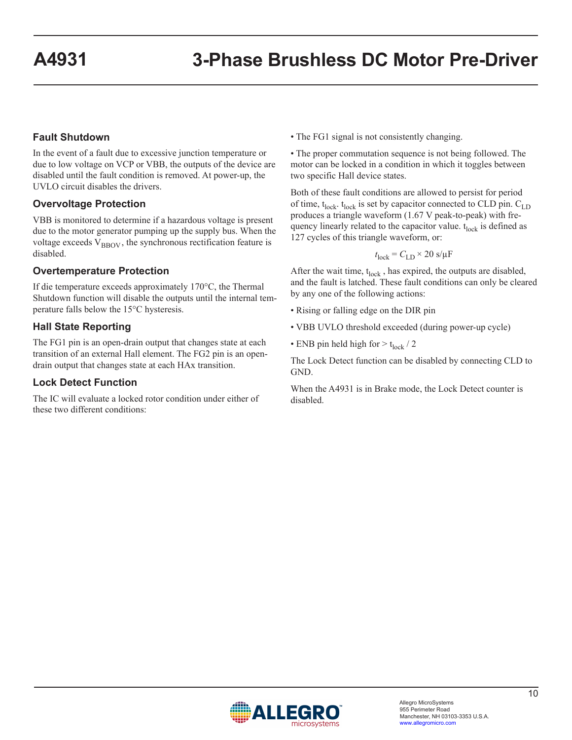#### **Fault Shutdown**

In the event of a fault due to excessive junction temperature or due to low voltage on VCP or VBB, the outputs of the device are disabled until the fault condition is removed. At power-up, the UVLO circuit disables the drivers.

#### **Overvoltage Protection**

VBB is monitored to determine if a hazardous voltage is present due to the motor generator pumping up the supply bus. When the voltage exceeds  $V_{\text{BBOV}}$ , the synchronous rectification feature is disabled.

#### **Overtemperature Protection**

If die temperature exceeds approximately 170°C, the Thermal Shutdown function will disable the outputs until the internal temperature falls below the 15°C hysteresis.

#### **Hall State Reporting**

The FG1 pin is an open-drain output that changes state at each transition of an external Hall element. The FG2 pin is an opendrain output that changes state at each HAx transition.

#### **Lock Detect Function**

The IC will evaluate a locked rotor condition under either of these two different conditions:

• The FG1 signal is not consistently changing.

• The proper commutation sequence is not being followed. The motor can be locked in a condition in which it toggles between two specific Hall device states.

Both of these fault conditions are allowed to persist for period of time,  $t_{lock}$ .  $t_{lock}$  is set by capacitor connected to CLD pin.  $C_{LD}$ produces a triangle waveform (1.67 V peak-to-peak) with frequency linearly related to the capacitor value.  $t_{lock}$  is defined as 127 cycles of this triangle waveform, or:

$$
t_{\rm lock} = C_{\rm LD} \times 20~{\rm s}/\mu{\rm F}
$$

After the wait time,  $t_{lock}$ , has expired, the outputs are disabled, and the fault is latched. These fault conditions can only be cleared by any one of the following actions:

- Rising or falling edge on the DIR pin
- VBB UVLO threshold exceeded (during power-up cycle)
- ENB pin held high for  $> t_{lock}$  / 2

The Lock Detect function can be disabled by connecting CLD to GND.

When the A4931 is in Brake mode, the Lock Detect counter is disabled.

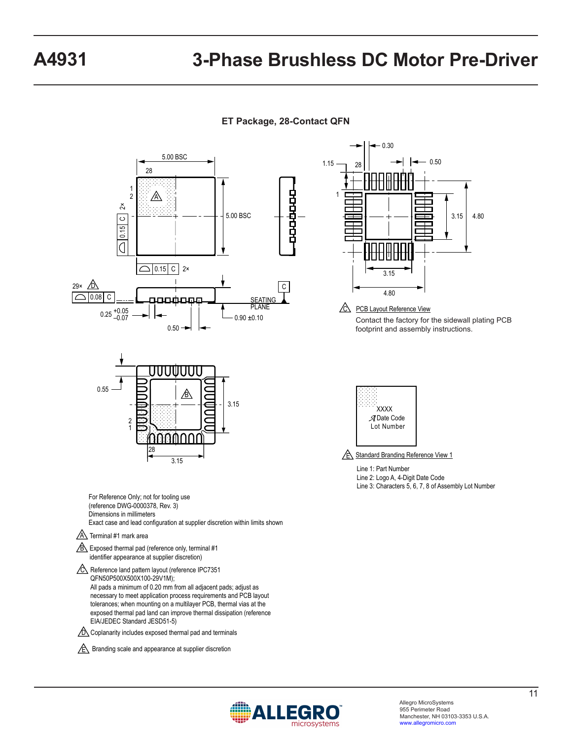**ET Package, 28-Contact QFN**



nicrosystems

EIA/JEDEC Standard JESD51-5)

 $\sqrt{\epsilon}$  Branding scale and appearance at supplier discretion  $\sqrt{D}$  Coplanarity includes exposed thermal pad and terminals